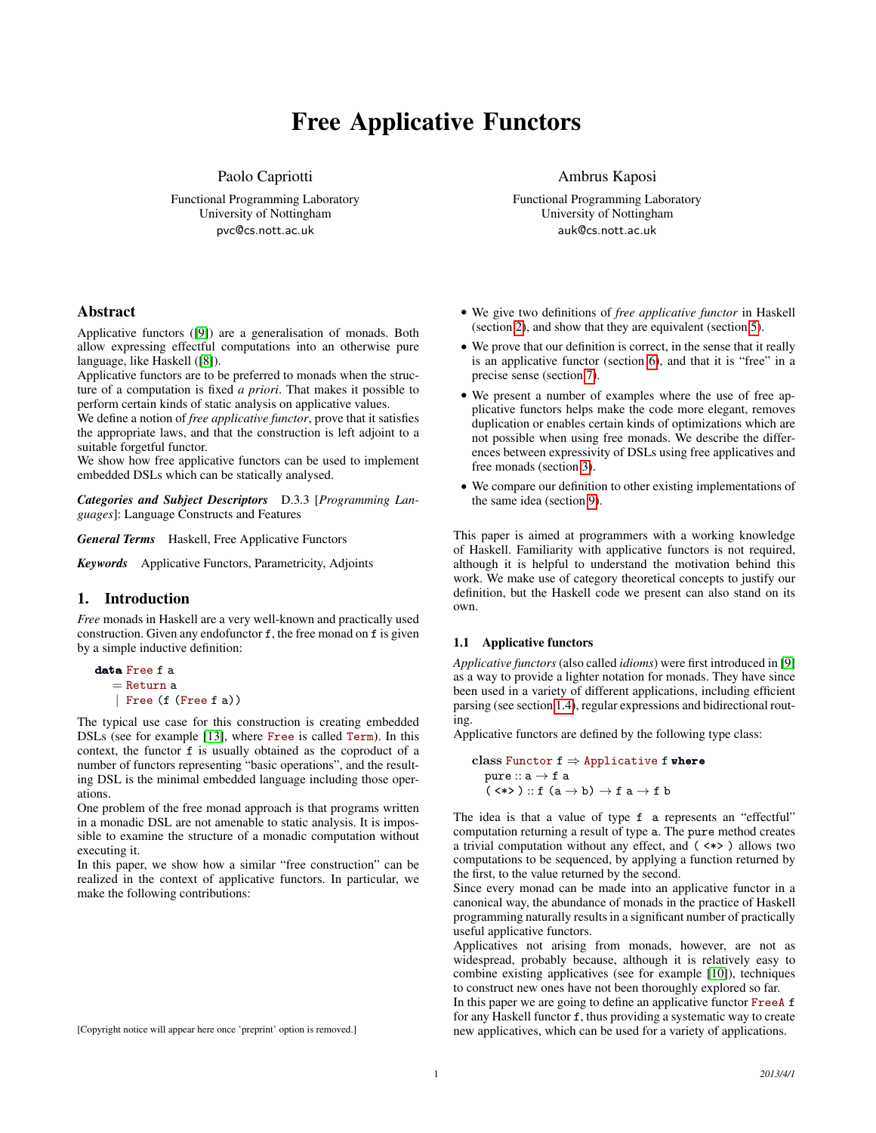# Free Applicative Functors

Paolo Capriotti

Functional Programming Laboratory University of Nottingham pvc@cs.nott.ac.uk

# **Abstract**

Applicative functors ([\[9\]](#page-9-0)) are a generalisation of monads. Both allow expressing effectful computations into an otherwise pure language, like Haskell ([\[8\]](#page-9-1)).

Applicative functors are to be preferred to monads when the structure of a computation is fixed *a priori*. That makes it possible to perform certain kinds of static analysis on applicative values.

We define a notion of *free applicative functor*, prove that it satisfies the appropriate laws, and that the construction is left adjoint to a suitable forgetful functor.

We show how free applicative functors can be used to implement embedded DSLs which can be statically analysed.

*Categories and Subject Descriptors* D.3.3 [*Programming Languages*]: Language Constructs and Features

*General Terms* Haskell, Free Applicative Functors

*Keywords* Applicative Functors, Parametricity, Adjoints

## 1. Introduction

*Free* monads in Haskell are a very well-known and practically used construction. Given any endofunctor f, the free monad on f is given by a simple inductive definition:

```
data Free f a
  = Return a
   | Free (f (Free f a))
```
The typical use case for this construction is creating embedded DSLs (see for example [\[13\]](#page-9-2), where Free is called Term). In this context, the functor f is usually obtained as the coproduct of a number of functors representing "basic operations", and the resulting DSL is the minimal embedded language including those operations.

One problem of the free monad approach is that programs written in a monadic DSL are not amenable to static analysis. It is impossible to examine the structure of a monadic computation without executing it.

In this paper, we show how a similar "free construction" can be realized in the context of applicative functors. In particular, we make the following contributions:

Ambrus Kaposi

Functional Programming Laboratory University of Nottingham auk@cs.nott.ac.uk

- We give two definitions of *free applicative functor* in Haskell (section [2\)](#page-2-0), and show that they are equivalent (section [5\)](#page-4-0).
- We prove that our definition is correct, in the sense that it really is an applicative functor (section [6\)](#page-4-1), and that it is "free" in a precise sense (section [7\)](#page-6-0).
- We present a number of examples where the use of free applicative functors helps make the code more elegant, removes duplication or enables certain kinds of optimizations which are not possible when using free monads. We describe the differences between expressivity of DSLs using free applicatives and free monads (section [3\)](#page-3-0).
- We compare our definition to other existing implementations of the same idea (section [9\)](#page-8-0).

This paper is aimed at programmers with a working knowledge of Haskell. Familiarity with applicative functors is not required, although it is helpful to understand the motivation behind this work. We make use of category theoretical concepts to justify our definition, but the Haskell code we present can also stand on its own.

#### 1.1 Applicative functors

*Applicative functors* (also called *idioms*) were first introduced in [\[9\]](#page-9-0) as a way to provide a lighter notation for monads. They have since been used in a variety of different applications, including efficient parsing (see section [1.4\)](#page-1-0), regular expressions and bidirectional routing.

Applicative functors are defined by the following type class:

class Functor  $f \Rightarrow$  Applicative f where pure ::  $a \rightarrow f a$  $(\leftrightarrow\rightarrow) :: f (a \rightarrow b) \rightarrow f a \rightarrow f b$ 

The idea is that a value of type f a represents an "effectful" computation returning a result of type a. The pure method creates a trivial computation without any effect, and ( <\*> ) allows two computations to be sequenced, by applying a function returned by the first, to the value returned by the second.

Since every monad can be made into an applicative functor in a canonical way, the abundance of monads in the practice of Haskell programming naturally results in a significant number of practically useful applicative functors.

Applicatives not arising from monads, however, are not as widespread, probably because, although it is relatively easy to combine existing applicatives (see for example [\[10\]](#page-9-3)), techniques to construct new ones have not been thoroughly explored so far.

In this paper we are going to define an applicative functor FreeA f for any Haskell functor f, thus providing a systematic way to create new applicatives, which can be used for a variety of applications.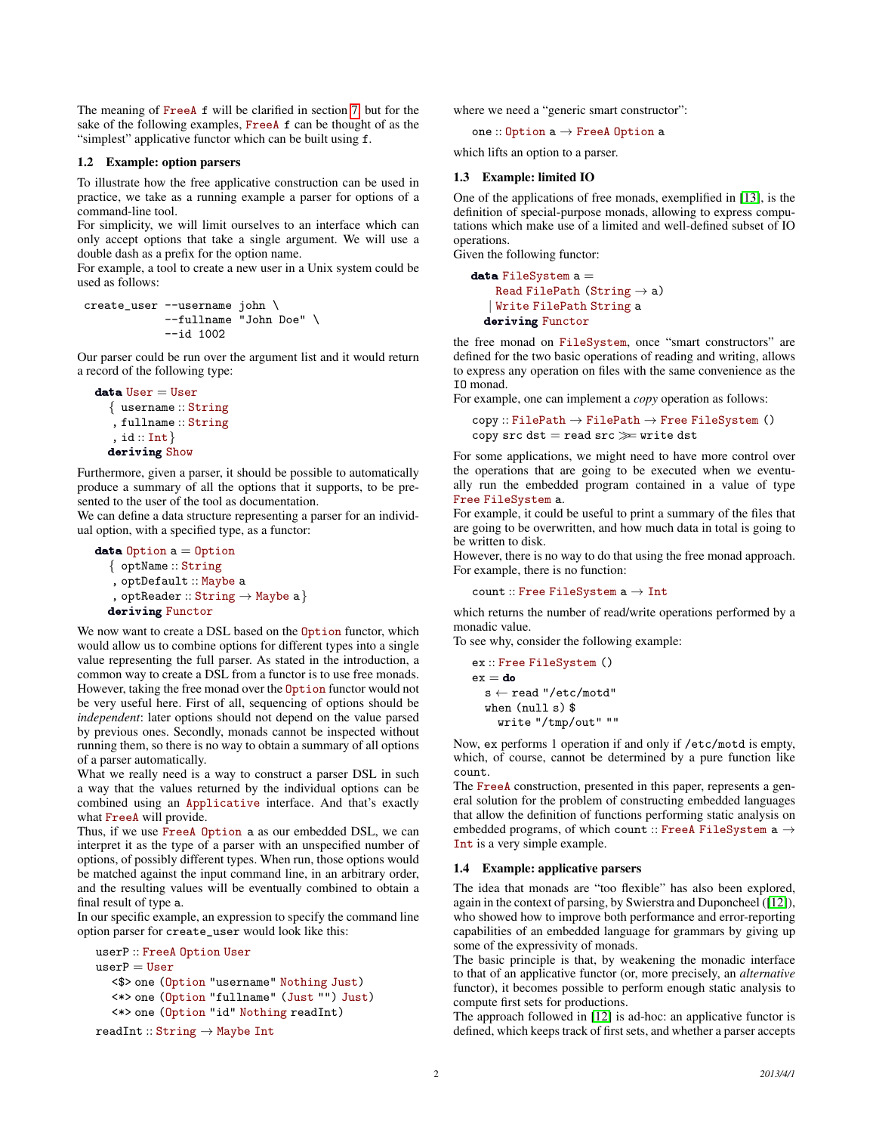The meaning of FreeA f will be clarified in section [7,](#page-6-0) but for the sake of the following examples, FreeA f can be thought of as the "simplest" applicative functor which can be built using f.

## <span id="page-1-1"></span>1.2 Example: option parsers

To illustrate how the free applicative construction can be used in practice, we take as a running example a parser for options of a command-line tool.

For simplicity, we will limit ourselves to an interface which can only accept options that take a single argument. We will use a double dash as a prefix for the option name.

For example, a tool to create a new user in a Unix system could be used as follows:

```
create_user --username john \
           --fullname "John Doe" \
           -id 1002
```
Our parser could be run over the argument list and it would return a record of the following type:

```
data User = User{ username :: String
  , fullname :: String
  , id :: Int \}deriving Show
```
Furthermore, given a parser, it should be possible to automatically produce a summary of all the options that it supports, to be presented to the user of the tool as documentation.

We can define a data structure representing a parser for an individual option, with a specified type, as a functor:

```
data Option a = Option
  { optName :: String
   , optDefault :: Maybe a
   , optReader :: String \rightarrow Maybe a}
  deriving Functor
```
We now want to create a DSL based on the Option functor, which would allow us to combine options for different types into a single value representing the full parser. As stated in the introduction, a common way to create a DSL from a functor is to use free monads. However, taking the free monad over the Option functor would not be very useful here. First of all, sequencing of options should be *independent*: later options should not depend on the value parsed by previous ones. Secondly, monads cannot be inspected without running them, so there is no way to obtain a summary of all options of a parser automatically.

What we really need is a way to construct a parser DSL in such a way that the values returned by the individual options can be combined using an Applicative interface. And that's exactly what FreeA will provide.

Thus, if we use FreeA Option a as our embedded DSL, we can interpret it as the type of a parser with an unspecified number of options, of possibly different types. When run, those options would be matched against the input command line, in an arbitrary order, and the resulting values will be eventually combined to obtain a final result of type a.

In our specific example, an expression to specify the command line option parser for create\_user would look like this:

```
userP :: FreeA Option User
userP = User<$> one (Option "username" Nothing Just)
  <*> one (Option "fullname" (Just "") Just)
  <*> one (Option "id" Nothing readInt)
readInt :: String \rightarrow Maybe Int
```
where we need a "generic smart constructor":

one  $::$  Option  $a \rightarrow$  FreeA Option a

which lifts an option to a parser.

## <span id="page-1-2"></span>1.3 Example: limited IO

One of the applications of free monads, exemplified in [\[13\]](#page-9-2), is the definition of special-purpose monads, allowing to express computations which make use of a limited and well-defined subset of IO operations.

Given the following functor:

 $data$  FileSystem  $a =$ Read FilePath (String  $\rightarrow$  a) | Write FilePath String a deriving Functor

the free monad on FileSystem, once "smart constructors" are defined for the two basic operations of reading and writing, allows to express any operation on files with the same convenience as the IO monad.

For example, one can implement a *copy* operation as follows:

```
copy :: FilePath \rightarrow FilePath \rightarrow Free FileSystem()copy src dst = read src \gg write dst
```
For some applications, we might need to have more control over the operations that are going to be executed when we eventually run the embedded program contained in a value of type Free FileSystem a.

For example, it could be useful to print a summary of the files that are going to be overwritten, and how much data in total is going to be written to disk.

However, there is no way to do that using the free monad approach. For example, there is no function:

 $count :: Free FileSystem a \rightarrow Int$ 

which returns the number of read/write operations performed by a monadic value.

To see why, consider the following example:

$$
\begin{array}{l} \texttt{ex::Free FileSystem ()} \\ \texttt{ex} = \texttt{do} \\ \texttt{s} \leftarrow \texttt{read}\text{''/etc/motd"} \\ \texttt{when (null s) $} \\ \texttt{write}\text{''/tmp/out" ""} \end{array}
$$

Now, ex performs 1 operation if and only if /etc/motd is empty, which, of course, cannot be determined by a pure function like count.

The FreeA construction, presented in this paper, represents a general solution for the problem of constructing embedded languages that allow the definition of functions performing static analysis on embedded programs, of which count  $::$  FreeA FileSystem a  $\rightarrow$ Int is a very simple example.

#### <span id="page-1-0"></span>1.4 Example: applicative parsers

The idea that monads are "too flexible" has also been explored, again in the context of parsing, by Swierstra and Duponcheel ([\[12\]](#page-9-4)), who showed how to improve both performance and error-reporting capabilities of an embedded language for grammars by giving up some of the expressivity of monads.

The basic principle is that, by weakening the monadic interface to that of an applicative functor (or, more precisely, an *alternative* functor), it becomes possible to perform enough static analysis to compute first sets for productions.

The approach followed in [\[12\]](#page-9-4) is ad-hoc: an applicative functor is defined, which keeps track of first sets, and whether a parser accepts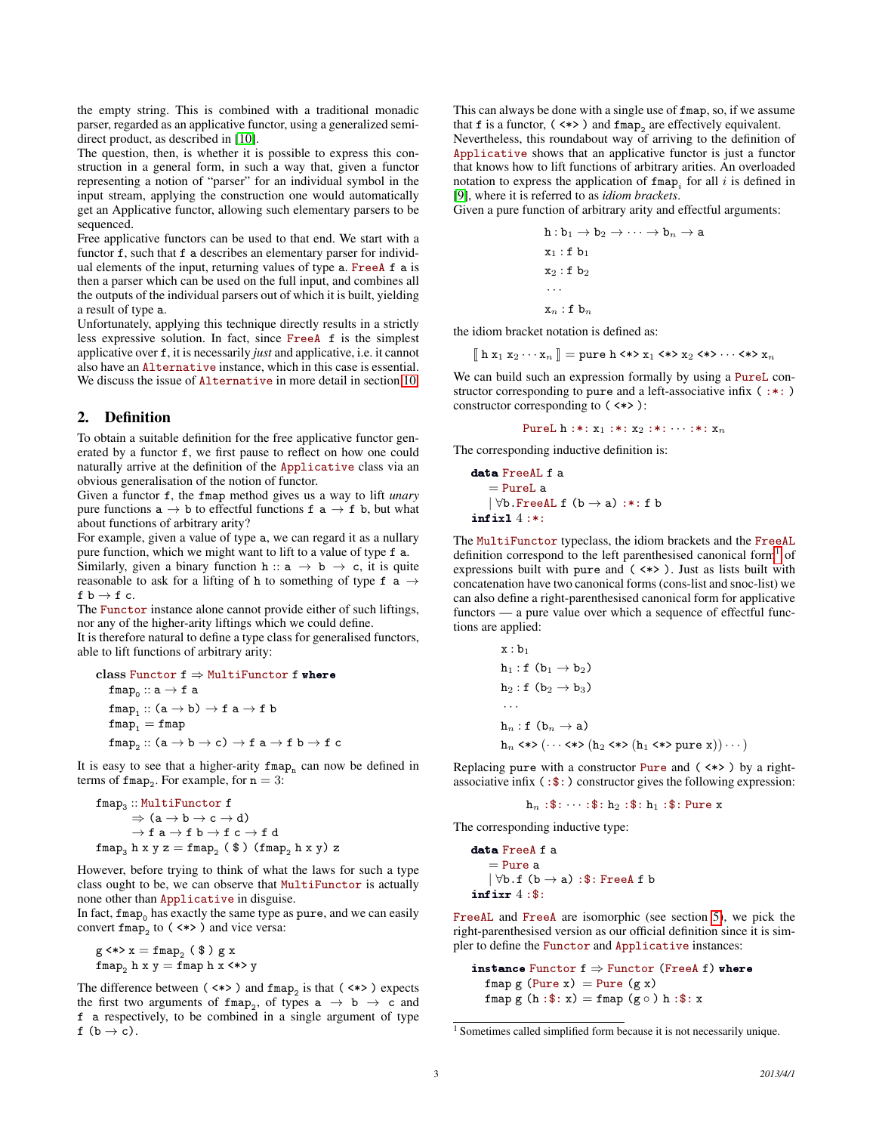the empty string. This is combined with a traditional monadic parser, regarded as an applicative functor, using a generalized semidirect product, as described in [\[10\]](#page-9-3).

The question, then, is whether it is possible to express this construction in a general form, in such a way that, given a functor representing a notion of "parser" for an individual symbol in the input stream, applying the construction one would automatically get an Applicative functor, allowing such elementary parsers to be sequenced.

Free applicative functors can be used to that end. We start with a functor f, such that f a describes an elementary parser for individual elements of the input, returning values of type a. FreeA f a is then a parser which can be used on the full input, and combines all the outputs of the individual parsers out of which it is built, yielding a result of type a.

Unfortunately, applying this technique directly results in a strictly less expressive solution. In fact, since FreeA f is the simplest applicative over f, it is necessarily *just* and applicative, i.e. it cannot also have an Alternative instance, which in this case is essential. We discuss the issue of Alternative in more detail in section [10.](#page-9-5)

# <span id="page-2-0"></span>2. Definition

To obtain a suitable definition for the free applicative functor generated by a functor f, we first pause to reflect on how one could naturally arrive at the definition of the Applicative class via an obvious generalisation of the notion of functor.

Given a functor f, the fmap method gives us a way to lift *unary* pure functions  $a \rightarrow b$  to effectful functions f  $a \rightarrow f b$ , but what about functions of arbitrary arity?

For example, given a value of type a, we can regard it as a nullary pure function, which we might want to lift to a value of type f a. Similarly, given a binary function h ::  $a \rightarrow b \rightarrow c$ , it is quite reasonable to ask for a lifting of h to something of type f a  $\rightarrow$ f  $b \rightarrow f c$ .

The Functor instance alone cannot provide either of such liftings, nor any of the higher-arity liftings which we could define.

It is therefore natural to define a type class for generalised functors, able to lift functions of arbitrary arity:

```
class Functor f \Rightarrow MultiFunctor f where
   \mathtt{fmap}_{0}::\mathtt{a}\rightarrow \mathtt{f} a
   \mathtt{fmap}_{\mathtt{1}}: \mathtt{(a \to b) \to f\ a \to f\ b}fmap_1 = fmap\mathtt{fmap}_{2}::\mathtt{(a\to b\to c)\to f\ a\to f\ b\to f\ c}
```
It is easy to see that a higher-arity  $fmap_n$  can now be defined in terms of  $\text{fmap}_2$ . For example, for  $n = 3$ :

```
\mathtt{fmap}_3 :: MultiFunctor \mathtt{f}\Rightarrow (a \rightarrow b \rightarrow c \rightarrow d)
            \rightarrowf a\rightarrowf b\rightarrowf c\rightarrowf d
\texttt{fmap}_{3} h x y z =\texttt{fmap}_{2} ( \texttt{\$} ) (\texttt{fmap}_{2} h x y) z
```
However, before trying to think of what the laws for such a type class ought to be, we can observe that MultiFunctor is actually none other than Applicative in disguise.

In fact,  $\text{fmap}_0$  has exactly the same type as pure, and we can easily convert  $map_2$  to ( $\iff$ ) and vice versa:

```
g \leftrightarrow x = \text{fmap}_{2} ($) g x\mathtt{fmap}_{2} h x y =\mathtt{fmap} h x <*> y
```
The difference between  $(\langle \ast \rangle)$  and  $\text{fmap}_2$  is that  $(\langle \ast \rangle)$  expects the first two arguments of  $\text{fmap}_2$ , of types  $a \rightarrow b \rightarrow c$  and f a respectively, to be combined in a single argument of type f  $(b \rightarrow c)$ .

This can always be done with a single use of fmap, so, if we assume that  $f$  is a functor,  $(\leftrightarrow)$  and  $f$ map<sub>2</sub> are effectively equivalent. Nevertheless, this roundabout way of arriving to the definition of Applicative shows that an applicative functor is just a functor that knows how to lift functions of arbitrary arities. An overloaded notation to express the application of  $\text{fmap}_i$  for all i is defined in [\[9\]](#page-9-0), where it is referred to as *idiom brackets*.

Given a pure function of arbitrary arity and effectful arguments:

$$
h : b_1 \to b_2 \to \cdots \to b_n \to a
$$
  

$$
x_1 : f b_1
$$
  

$$
x_2 : f b_2
$$
  

$$
\cdots
$$
  

$$
x_n : f b_n
$$

the idiom bracket notation is defined as:

 $\left[\begin{smallmatrix} h & x_1 & x_2 & \cdots & x_n \end{smallmatrix}\right] =$  pure  $h \leftrightarrow x_1 \leftrightarrow x_2 \leftrightarrow \cdots \leftrightarrow x_n$ 

We can build such an expression formally by using a PureL constructor corresponding to pure and a left-associative infix ( :\*: ) constructor corresponding to ( <\*> ):

PureL h :\*:  $x_1$  :\*:  $x_2$  :\*:  $\cdots$  :\*:  $x_n$ 

The corresponding inductive definition is:

```
data FreeAL f a
   = PureL a
   |\forall b. FreeAL f (b \rightarrow a) :*: f b
infixl 4 :*:
```
The MultiFunctor typeclass, the idiom brackets and the FreeAL definition correspond to the left parenthesised canonical form<sup>[1](#page-2-1)</sup> of expressions built with pure and ( <\*> ). Just as lists built with concatenation have two canonical forms (cons-list and snoc-list) we can also define a right-parenthesised canonical form for applicative functors — a pure value over which a sequence of effectful functions are applied:

$$
x : b_1
$$
\n
$$
h_1 : f (b_1 \rightarrow b_2)
$$
\n
$$
h_2 : f (b_2 \rightarrow b_3)
$$
\n
$$
\dots
$$
\n
$$
h_n : f (b_n \rightarrow a)
$$
\n
$$
h_n \ll \text{for } n \ll \text{for } n \ll \text{for } n \ll \text{for } n \ll \text{for } n \ll \text{for } n \ll \text{for } n \ll \text{for } n \ll \text{for } n \ll \text{for } n \ll \text{for } n \ll \text{for } n \ll \text{for } n \ll \text{for } n \ll \text{for } n \ll \text{for } n \ll \text{for } n \ll \text{for } n \ll \text{for } n \ll \text{for } n \ll \text{for } n \ll \text{for } n \ll \text{for } n \ll \text{for } n \ll \text{for } n \ll \text{for } n \ll \text{for } n \ll \text{for } n \ll \text{for } n \ll \text{for } n \ll \text{for } n \ll \text{for } n \ll \text{for } n \ll \text{for } n \ll \text{for } n \ll \text{for } n \ll \text{for } n \ll \text{for } n \ll \text{for } n \ll \text{for } n \ll \text{for } n \ll \text{for } n \ll \text{for } n \ll \text{for } n \ll \text{for } n \ll \text{for } n \ll \text{for } n \ll \text{for } n \ll \text{for } n \ll \text{for } n \ll \text{for } n \ll \text{for } n \ll \text{for } n \ll \text{for } n \ll \text{for } n \ll \text{for } n \ll \text{for } n \ll \text{for } n \ll \text{for } n \ll \text{for } n \ll \text{for } n \ll \text{for } n \ll \text{for } n \ll \text{for } n \ll \text{for } n \ll \text{for } n \ll \text{for } n \ll \text{for } n \ll \text{for } n \ll \text{for } n \ll \text{for } n \ll \text{for } n \ll \text{for } n \ll \text{for } n \ll \text{for } n \ll \text{for } n \ll \text{for } n \ll \text{for } n \ll \text{for } n \ll \text{for } n \ll \text{for } n \ll \text{for } n \ll \text{for }
$$

Replacing pure with a constructor Pure and ( <\*> ) by a rightassociative infix  $(:\$ : ) constructor gives the following expression:

$$
h_n : \mathbf{\$} : \cdots : \mathbf{\$} : h_2 : \mathbf{\$} : h_1 : \mathbf{\$} : \text{Pure } x
$$

The corresponding inductive type:

data FreeA f a  $=$  Pure a  $\forall b.f (b \rightarrow a) :$ \$: FreeA f b infixr 4 :\$:

FreeAL and FreeA are isomorphic (see section [5\)](#page-4-0), we pick the right-parenthesised version as our official definition since it is simpler to define the Functor and Applicative instances:

instance Functor  $f \Rightarrow$  Functor (FreeA f) where fmap  $g$  (Pure  $x$ ) = Pure ( $g x$ ) fmap  $g(h: \$: x) =$ fmap  $(g \circ) h: \$: x$ 

<span id="page-2-1"></span><sup>&</sup>lt;sup>1</sup> Sometimes called simplified form because it is not necessarily unique.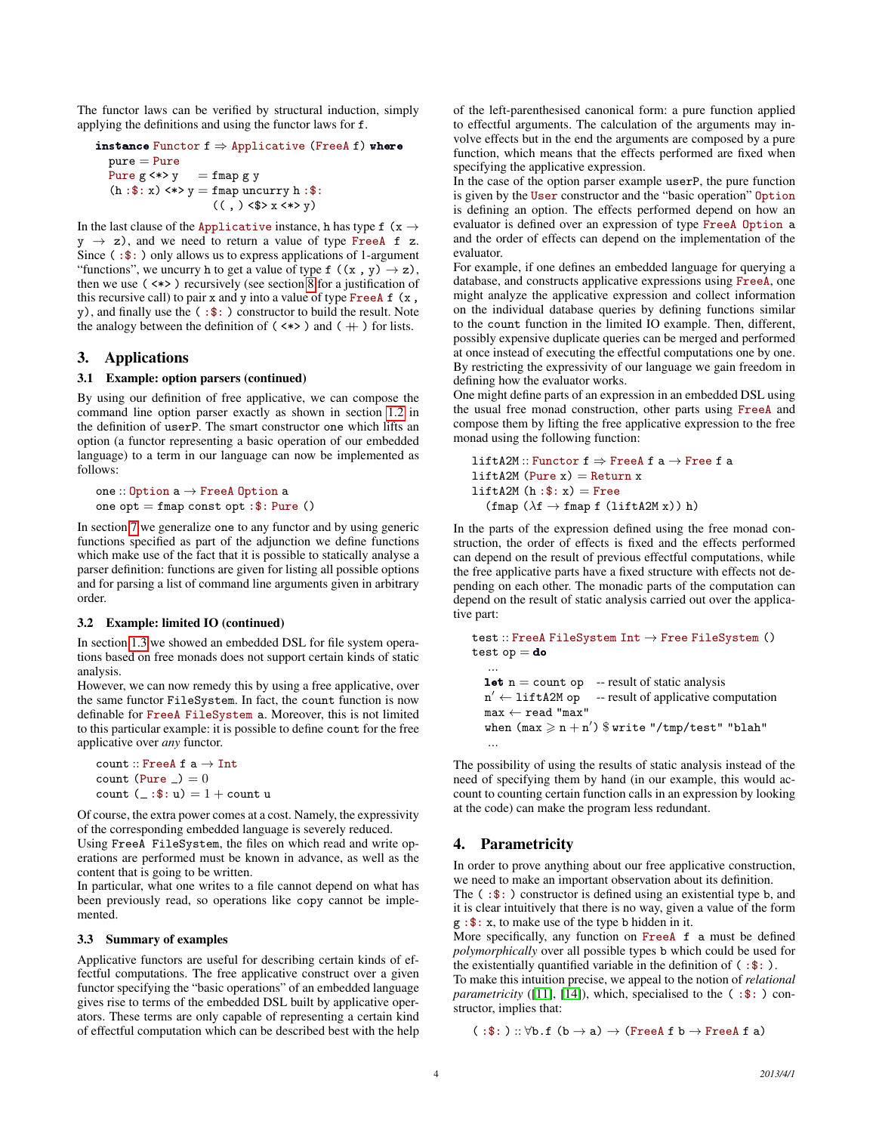The functor laws can be verified by structural induction, simply applying the definitions and using the functor laws for f.

```
instance Functor f \Rightarrow Applicative (FreeA f) where
      pure = PurePure g \leftrightarrow y = f \text{map } g y(h : \text{L} : \text{L} \Rightarrow \text{L} \Rightarrow \text{L} \Rightarrow \text{L} \Rightarrow \text{L} \Rightarrow \text{L} \Rightarrow \text{L} \Rightarrow \text{L} \Rightarrow \text{L} \Rightarrow \text{L} \Rightarrow \text{L} \Rightarrow \text{L} \Rightarrow \text{L} \Rightarrow \text{L} \Rightarrow \text{L} \Rightarrow \text{L} \Rightarrow(( , ) < \frac{1}{2} > x < \frac{1}{2} > x
```
In the last clause of the Applicative instance, h has type  $f(x \rightarrow$  $y \rightarrow z$ ), and we need to return a value of type FreeA f z. Since ( :\$: ) only allows us to express applications of 1-argument "functions", we uncurry h to get a value of type  $f((x, y) \rightarrow z)$ , then we use ( <\*> ) recursively (see section [8](#page-8-1) for a justification of this recursive call) to pair  $x$  and  $y$  into a value of type FreeA  $f(x)$ , y), and finally use the ( :\$: ) constructor to build the result. Note the analogy between the definition of  $(\leftrightarrow)$  and  $(+)$  for lists.

# <span id="page-3-0"></span>3. Applications

## 3.1 Example: option parsers (continued)

By using our definition of free applicative, we can compose the command line option parser exactly as shown in section [1.2](#page-1-1) in the definition of userP. The smart constructor one which lifts an option (a functor representing a basic operation of our embedded language) to a term in our language can now be implemented as follows:

one :: Option  $a \rightarrow$  FreeA Option a one opt  $=$  fmap const opt : \$: Pure ()

In section [7](#page-6-0) we generalize one to any functor and by using generic functions specified as part of the adjunction we define functions which make use of the fact that it is possible to statically analyse a parser definition: functions are given for listing all possible options and for parsing a list of command line arguments given in arbitrary order.

#### 3.2 Example: limited IO (continued)

In section [1.3](#page-1-2) we showed an embedded DSL for file system operations based on free monads does not support certain kinds of static analysis.

However, we can now remedy this by using a free applicative, over the same functor FileSystem. In fact, the count function is now definable for FreeA FileSystem a. Moreover, this is not limited to this particular example: it is possible to define count for the free applicative over *any* functor.

```
count :: \texttt{FreeA} \texttt{ f } \texttt{a} \rightarrow \texttt{Int}count (Pure _) = 0
count (: \: u) = 1 + count u
```
Of course, the extra power comes at a cost. Namely, the expressivity of the corresponding embedded language is severely reduced. Using FreeA FileSystem, the files on which read and write op-

erations are performed must be known in advance, as well as the content that is going to be written.

In particular, what one writes to a file cannot depend on what has been previously read, so operations like copy cannot be implemented.

## 3.3 Summary of examples

Applicative functors are useful for describing certain kinds of effectful computations. The free applicative construct over a given functor specifying the "basic operations" of an embedded language gives rise to terms of the embedded DSL built by applicative operators. These terms are only capable of representing a certain kind of effectful computation which can be described best with the help of the left-parenthesised canonical form: a pure function applied to effectful arguments. The calculation of the arguments may involve effects but in the end the arguments are composed by a pure function, which means that the effects performed are fixed when specifying the applicative expression.

In the case of the option parser example userP, the pure function is given by the User constructor and the "basic operation" Option is defining an option. The effects performed depend on how an evaluator is defined over an expression of type FreeA Option a and the order of effects can depend on the implementation of the evaluator.

For example, if one defines an embedded language for querying a database, and constructs applicative expressions using FreeA, one might analyze the applicative expression and collect information on the individual database queries by defining functions similar to the count function in the limited IO example. Then, different, possibly expensive duplicate queries can be merged and performed at once instead of executing the effectful computations one by one. By restricting the expressivity of our language we gain freedom in defining how the evaluator works.

One might define parts of an expression in an embedded DSL using the usual free monad construction, other parts using FreeA and compose them by lifting the free applicative expression to the free monad using the following function:

```
liftA2M :: Function f \Rightarrow FreeA f a \rightarrow Free f aliftA2M (Pure x) = Return x
lift2M (h : $: x) = Free(fmap (\lambda f \rightarrow f \text{map } f (liftA2M x)) h)
```
In the parts of the expression defined using the free monad construction, the order of effects is fixed and the effects performed can depend on the result of previous effectful computations, while the free applicative parts have a fixed structure with effects not depending on each other. The monadic parts of the computation can depend on the result of static analysis carried out over the applicative part:

```
test :: FreeA FileSystem Int \rightarrow Free FileSystem ()
test op = do
   ...
  let n = count op -- result of static analysis
   n' \leftarrow \text{liftA2M op} -- result of applicative computation
  \texttt{max} \leftarrow \texttt{read "max"}when (\max \geqslant n+n') \text{\$ write \texttt{``/tmp/test'' \texttt{''}blah''}}...
```
The possibility of using the results of static analysis instead of the need of specifying them by hand (in our example, this would account to counting certain function calls in an expression by looking at the code) can make the program less redundant.

# 4. Parametricity

In order to prove anything about our free applicative construction, we need to make an important observation about its definition.

The  $(:\$ : ) constructor is defined using an existential type b, and it is clear intuitively that there is no way, given a value of the form g :\$: x, to make use of the type b hidden in it.

More specifically, any function on FreeA f a must be defined *polymorphically* over all possible types b which could be used for the existentially quantified variable in the definition of ( :\$: ).

To make this intuition precise, we appeal to the notion of *relational parametricity* ([\[11\]](#page-9-6), [\[14\]](#page-9-7)), which, specialised to the  $(:\$ : ) constructor, implies that:

```
(:\:): \forall b.f (b \rightarrow a) \rightarrow (FreeA f b \rightarrow FreeA f a)
```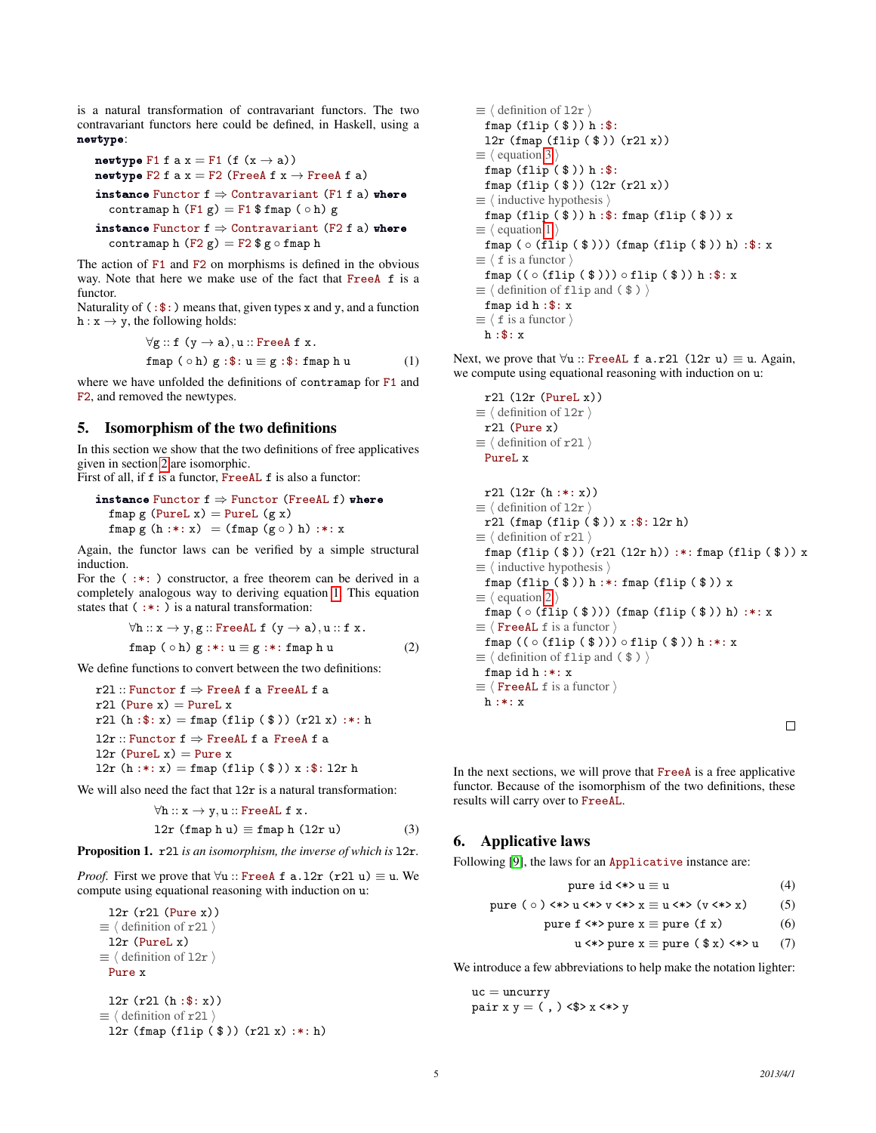is a natural transformation of contravariant functors. The two contravariant functors here could be defined, in Haskell, using a newtype:

newtype F1 f a x = F1 (f (x → a)) newtype F2 f a x = F2 (FreeA f x → FreeA f a) instance Functor f ⇒ Contravariant (F1 f a) where contramap h (F1 g) = F1 \$ fmap ( ◦ h) g instance Functor f ⇒ Contravariant (F2 f a) where contramap h (F2 g) = F2 \$ g ◦ fmap h

The action of F1 and F2 on morphisms is defined in the obvious way. Note that here we make use of the fact that FreeA f is a functor.

Naturality of  $(:\$ : ) means that, given types x and y, and a function  $h: x \rightarrow y$ , the following holds:

$$
\forall g :: f (y \rightarrow a), u :: FreeA f x.
$$
  
 
$$
fmap ( \circ h) g : \$ : u \equiv g : \$ : fmap h u
$$
 (1)

where we have unfolded the definitions of contramap for F1 and F2, and removed the newtypes.

## <span id="page-4-0"></span>5. Isomorphism of the two definitions

In this section we show that the two definitions of free applicatives given in section [2](#page-2-0) are isomorphic.

First of all, if f is a functor, FreeAL f is also a functor:

```
instance Functor f \Rightarrow Functor (FreeAL f) where
 fmap g (PureL x) = PureL (g x)fmap g(h : * : x) = (fmap (g \circ) h) : * : x
```
Again, the functor laws can be verified by a simple structural induction.

For the  $(:*)$  constructor, a free theorem can be derived in a completely analogous way to deriving equation [1.](#page-4-2) This equation states that ( :\*: ) is a natural transformation:

$$
\forall h :: x \rightarrow y, g :: FreeAL f (y \rightarrow a), u :: f x.
$$
  
fmap ( \circ h) g : \* : u \equiv g : \* : fmap h u \qquad (2)

We define functions to convert between the two definitions:

 $r2l ::$  Functor  $f \Rightarrow$  FreeA f a FreeAL f a  $r21$  (Pure x) = PureL x r2l  $(h : $: x) = f$ map  $(flip ($)) (r2l x) : *: h$  $12r$  :: Functor  $f \Rightarrow$  FreeAL f a FreeA f a 12 $r$  (PureL x) = Pure x 12r  $(h : * : x) = f$ map  $(flip (\$ ) x : \$: 12r h

We will also need the fact that  $12r$  is a natural transformation:

$$
\forall h :: x \rightarrow y, u :: FreeAL f x.
$$
  
12r (fmap h u)  $\equiv$  fmap h (12r u) (3)

Proposition 1. r2l *is an isomorphism, the inverse of which is* l2r*.*

*Proof.* First we prove that  $\forall u$  :: FreeA f a.12r (r21 u)  $\equiv u$ . We compute using equational reasoning with induction on u:

l2r (r2l (Pure x))  $\equiv \langle$  definition of r2l  $\rangle$ l2r (PureL x)  $\equiv \langle$  definition of 12r  $\rangle$ Pure x l2r (r2l (h :\$: x))

```
\equiv \langle definition of r21 \ranglel2r (fmap (flip ( $ )) (r2l x) :*: h)
```

```
\equiv \langle definition of 12r \ranglefmap (flip ( $ )) h :$:
 l2r (fmap (flip ( $ )) (r2l x))
\equiv \langle 3 \ranglefmap (flip ( $ )) h :$:
 fmap (flip ( $ )) (12r (r21 x))\equiv \langle inductive hypothesis \ranglefmap (flip (\)) h :\: fmap (flip (\)) x
\equiv \langle 1 \ranglefmap ( \circ (flip (\$))) (fran p (flip (\$))) h) :$: x
\equiv \langle f is a functor \ranglefmap (( \circ (flip (\cal{F}))) \circ flip (\$)) h :
\equiv \langle definition of flip and ( \hat{\ } ) \ranglefmap id h :$: x
\equiv \langle f is a functor \rangleh : $: x
```
<span id="page-4-2"></span>Next, we prove that  $\forall u$  :: FreeAL f a.r2l (12r u)  $\equiv u$ . Again, we compute using equational reasoning with induction on u:

```
r2l (l2r (PureL x))
\equiv \langle definition of 12r \rangler2l (Pure x)
\equiv \langle definition of r2l \ranglePureL x
  r2l (l2r (h :*: x))
\equiv \langle definition of 12r \rangler2l (fmap (flip ( $ )) x :$: l2r h)
\equiv \langle definition of r21 \rangle
```

```
fmap (flip ( $ )) (r2l (l2r h)) :*: fmap (flip ( $ )) x
\equiv \langle inductive hypothesis \ranglefmap (flip (\)) h :*: fmap (flip (\$)) x\equiv \langle 2 \ranglefmap ( \circ (flip (\$))) (map (flip (\$))) h) :*: x\equiv \langle FreeAL f is a functor \ranglefmap (( \circ (flip (\{b}))) \circ flip (\$)) h :*: x
\equiv \langle definition of flip and (\, $ ) \ranglefmap id h :*: x
\equiv \langle FreeAL f is a functor \rangleh :*: x
```
In the next sections, we will prove that FreeA is a free applicative functor. Because of the isomorphism of the two definitions, these results will carry over to FreeAL.

# <span id="page-4-3"></span><span id="page-4-1"></span>6. Applicative laws

Following [\[9\]](#page-9-0), the laws for an Applicative instance are:

$$
pure id \llap{*} \gtq u \equiv u \tag{4}
$$

pure ( o) **$$
\leftrightarrow
$$** u  **$\leftrightarrow$**  v  **$\leftrightarrow$**  x  $\equiv$  u  **$\leftrightarrow$**  (v  **$\leftrightarrow$**  x) (5)

pure f  $\langle * \rangle$  pure  $x \equiv$  pure (f x) (6)

u  $\langle * \rangle$  pure  $x \equiv$  pure  $(\frac{2}{3}x) \langle * \rangle$  u (7)

We introduce a few abbreviations to help make the notation lighter:

 $uc = uncurry$ pair x  $y = ($ ,  $)$  <  $\Rightarrow$  x <  $\Rightarrow$  y <span id="page-4-8"></span><span id="page-4-7"></span><span id="page-4-6"></span><span id="page-4-5"></span> $\Box$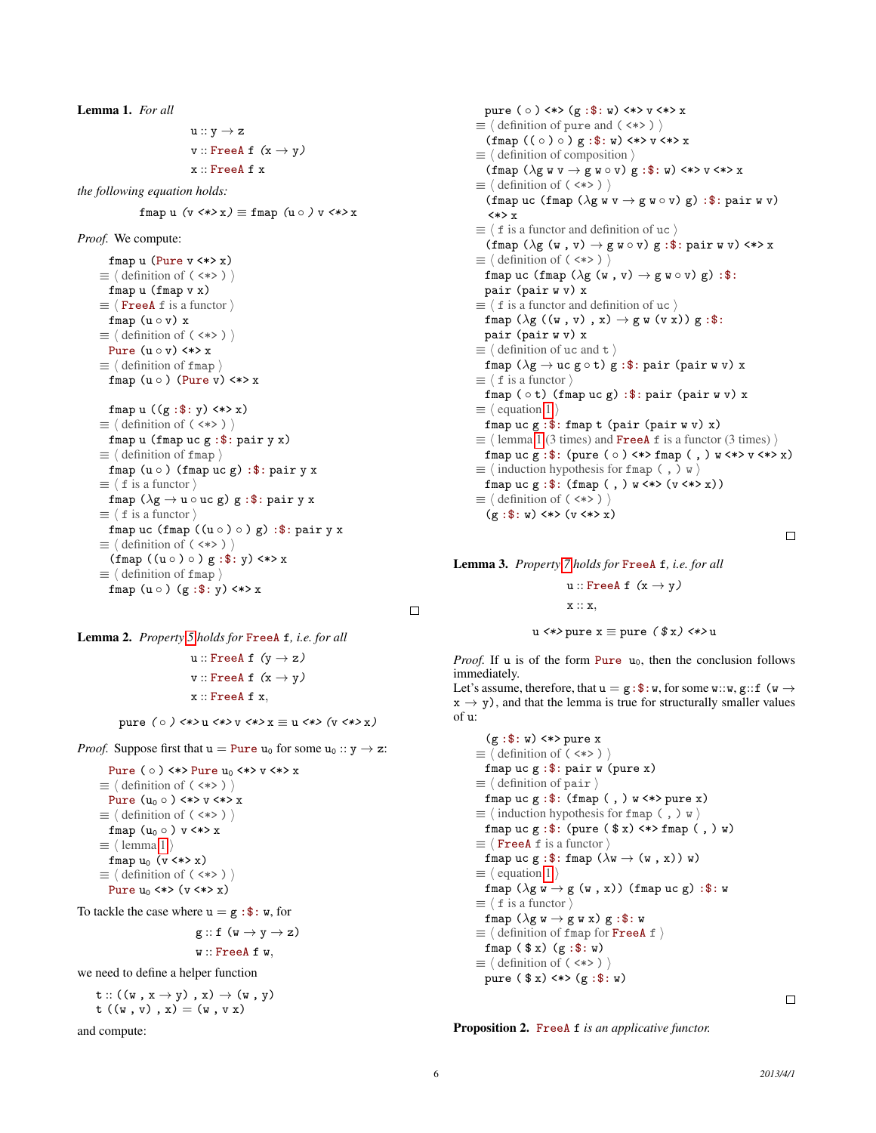```
u :: y \rightarrow zv :: FreeA f (x \rightarrow y)x :: FreeA f x
```
<span id="page-5-0"></span>*the following equation holds:*

fmap u  $(v \leftrightarrow x) \equiv$  fmap  $(u \circ) v \leftrightarrow x$ 

## *Proof.* We compute:

fmap u (Pure  $v \leftrightarrow x$ )  $\equiv \langle$  definition of ( <\*> )  $\rangle$ fmap u (fmap v x)  $\equiv \langle$  FreeA f is a functor  $\rangle$ fmap  $(u \circ v)$  x  $\equiv$   $\langle$  definition of  $(\langle \rangle \rangle$ Pure  $(u \circ v) \leftrightarrow x$  $\equiv \langle$  definition of fmap  $\rangle$ fmap  $(u \circ)$  (Pure v)  $\langle * \rangle$  x fmap  $u$  ((g : \$: y) < \* > x)  $\equiv \langle$  definition of ( <\*> )  $\rangle$ fmap u (fmap uc g : \$: pair y x)  $\equiv \langle$  definition of fmap  $\rangle$ fmap  $(u \circ)$  (fmap uc g) : \$: pair y x  $\equiv \langle f$  is a functor  $\rangle$ fmap  $(\lambda g \to u \circ u c g) g$ : \$: pair y x  $\equiv \langle f$  is a functor  $\rangle$ fmap uc (fmap  $((u \circ) \circ) g)$ : \$: pair y x  $\equiv \langle$  definition of ( <\*> )  $\rangle$ (fmap (( $u \circ$ )  $\circ$ )  $g :$   $f :$   $y$ ) <\*> x  $\equiv \langle$  definition of fmap  $\rangle$ fmap  $(u \circ)$   $(g : $: y)$   $\leftrightarrow x$ 

 $\Box$ 

<span id="page-5-1"></span>Lemma 2. *Property [5](#page-4-5) holds for* FreeA f*, i.e. for all*

 $u$  :: FreeA f  $(y \rightarrow z)$  $v$  :: FreeA f  $(x \rightarrow y)$ x :: FreeA f x,

pure  $(0)$   $\langle * \rangle$  u  $\langle * \rangle$  v  $\langle * \rangle$  x  $\equiv$  u  $\langle * \rangle$   $(v \langle * \rangle$  x)

*Proof.* Suppose first that  $u = Pur$ e  $u_0$  for some  $u_0 :: y \rightarrow z$ :

```
Pure ( \circ ) <*> Pure u_0 <*> v <*> x
\equiv \langle definition of ( <*> ) \ranglePure (u_0 \circ) <*> v <*> x
\equiv \langle definition of ( \langle \rangle) \ranglefmap (u_0 \circ) v \langle * \rangle x
\equiv \langle 1 \ranglefmap u_0 (v \leftrightarrow x)
\equiv \langle definition of ( <*> ) \ranglePure u_0 \leftrightarrow (v \leftrightarrow x)
```
To tackle the case where  $u = g :$ \$: w, for

$$
g::f (w \rightarrow y \rightarrow z)
$$

$$
w::FreeA f w,
$$

we need to define a helper function

t :: ((w , x → y) , x) → (w , y) t ((w , v) , x) = (w , v x)

and compute:

pure ( ⊙ ) <\*> (g :\$: w) <\*> v <\*> x  $\equiv \langle$  definition of pure and (  $\langle * \rangle$  )  $\rangle$ (fmap  $((\circ)\circ)$  g :  $\frac{1}{2}:w)$  < \* > v < \* > x  $\equiv \langle$  definition of composition  $\rangle$ (fmap  $(\lambda g w v \rightarrow g w \circ v) g :$ \$: w) <\*> v <\*> x  $\equiv$   $\langle$  definition of  $(\langle \rangle \rangle)$ (fmap uc (fmap  $(\lambda g w v \rightarrow g w \circ v) g$ ) : \$: pair w v) <\*> x  $\equiv \langle f$  is a functor and definition of uc  $\rangle$ (fmap  $(\lambda g(w, v) \rightarrow g w \circ v) g :$ \$: pair w v) <\*> x  $\equiv \langle$  definition of ( <\*> )  $\rangle$ fmap uc (fmap  $(\lambda g(w, v) \rightarrow g w \circ v) g$ ) :\$: pair (pair w v) x  $\equiv \langle$   ${\tt f}$  is a functor and definition of uc  $\rangle$ fmap  $(\lambda g ((w, v), x) \rightarrow g w (v x)) g :$ \$: pair (pair w v) x  $\equiv \langle$  definition of uc and t  $\rangle$ fmap  $(\lambda g \to u c g \circ t) g :$ \$: pair (pair w v) x  $\equiv \langle f$  is a functor  $\rangle$ fmap  $(\circ t)$  (fmap uc g) :  $\frac{1}{2}$ : pair (pair w v) x  $\equiv \langle$  equation [1](#page-4-2)  $\rangle$ fmap uc g :\$: fmap t (pair (pair w v) x)  $\equiv$   $\langle$  lemma [1](#page-5-0) (3 times) and **FreeA** f is a functor (3 times)  $\rangle$ fmap uc g : \$: (pure ( ◦ ) < \* > fmap ( , ) w < \* > v < \* > x)  $\equiv \langle$  induction hypothesis for fmap  $\langle , \rangle$  w  $\rangle$ fmap uc  $g :$   $\frac{1}{2}$ : (fmap (, )  $w \le x$  ( $v \le x$ ))  $\equiv$  ( definition of (  $\langle \rangle$ ) is  $(g : $: w) \iff (v \iff x)$ 

 $\Box$ 

<span id="page-5-2"></span>Lemma 3. *Property [7](#page-4-6) holds for* FreeA f*, i.e. for all*

 $u$  :: FreeA f  $(x \rightarrow y)$ x :: x, u  $\langle * \rangle$  pure  $x \equiv$  pure  $(\frac{\hat{x}}{x}) \langle * \rangle$ u

*Proof.* If  $u$  is of the form Pure  $u_0$ , then the conclusion follows immediately.

Let's assume, therefore, that  $u = g :$   $\hat{s} : w$ , for some w::w, g::f (w  $\rightarrow$  $x \rightarrow y$ , and that the lemma is true for structurally smaller values of u:

$$
(g: \$: w) \iff pure x
$$
\n
$$
\equiv \langle \text{ definition of } (\iff \text{)} \rangle
$$
\n
$$
\text{fmap } uc \ g: \$: pair \ w \ (\text{pure } x)
$$
\n
$$
\equiv \langle \text{ definition of pair } \rangle
$$
\n
$$
\text{fmap } uc \ g: \$: (\text{fmap } (\text{)}, \text{ } w \iff \text{pure } x)
$$
\n
$$
\equiv \langle \text{ induction hypothesis for } \text{fmap } (\text{)}, \text{ } w \rangle
$$
\n
$$
\text{fmap } uc \ g: \$: (\text{pure } (\$ x) \iff \text{fmap } (\text{)}, \text{ } w)
$$
\n
$$
\equiv \langle \text{FreeA f is a functor } \rangle
$$
\n
$$
\text{fmap } uc \ g: \$: \text{fmap } (\lambda w \to (w, x)) \ w)
$$
\n
$$
\equiv \langle \text{ equation } 1 \rangle
$$
\n
$$
\text{fmap } (\lambda g \ w \to g \ (w, x)) \ (\text{fmap } uc \ g): \$: w
$$
\n
$$
\equiv \langle \text{ f is a functor } \rangle
$$
\n
$$
\text{fmap } (\lambda g \ w \to g \ w \ x) \ g: \$: w
$$
\n
$$
\equiv \langle \text{ definition of } \text{fmap for FreeA f } \rangle
$$
\n
$$
\text{fmap } (\$ x) \ (g: \$: w)
$$
\n
$$
\equiv \langle \text{definition of } (\iff \text{)} \rangle
$$
\n
$$
\text{pure } (\$ x) \iff (\text{g} : \$: w)
$$

 $\Box$ 

Proposition 2. FreeA f *is an applicative functor.*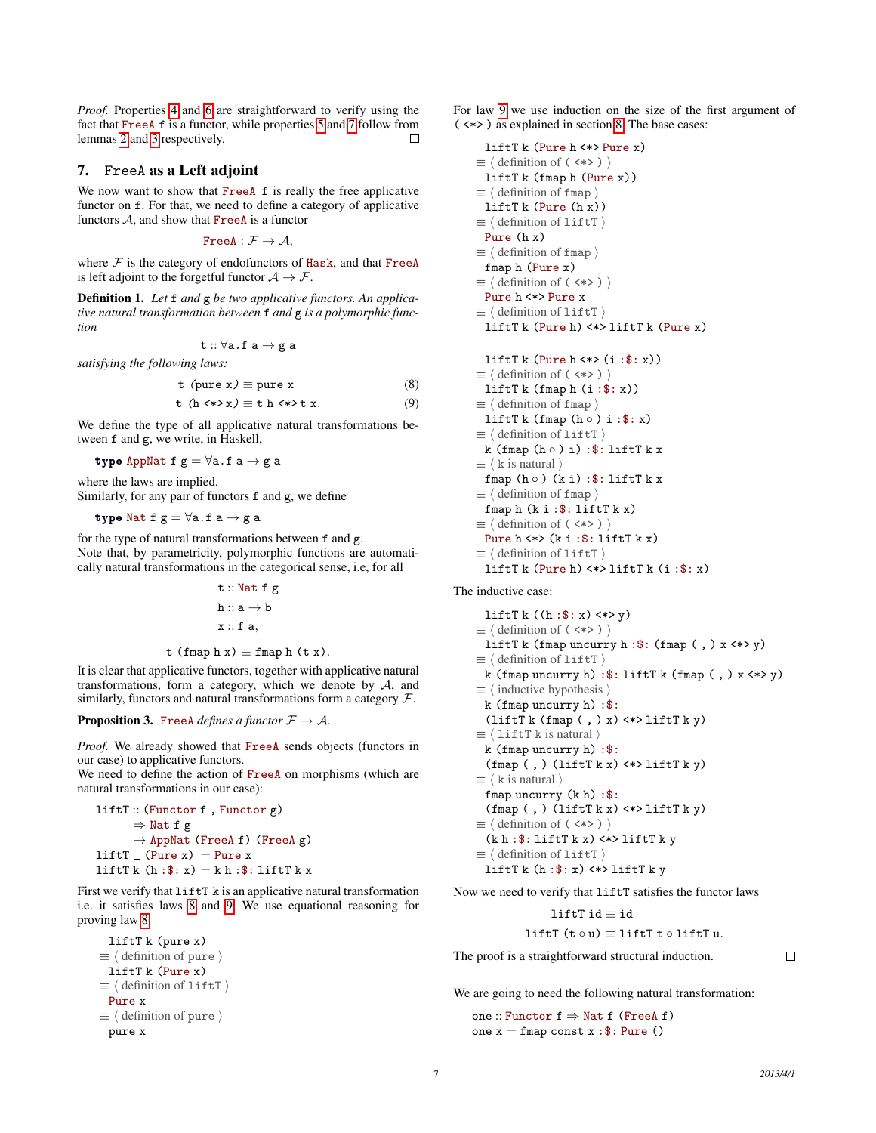*Proof.* Properties [4](#page-4-7) and [6](#page-4-8) are straightforward to verify using the fact that FreeA f is a functor, while properties [5](#page-4-5) and [7](#page-4-6) follow from lemmas [2](#page-5-1) and [3](#page-5-2) respectively. П

## <span id="page-6-0"></span>7. FreeA as a Left adjoint

We now want to show that FreeA f is really the free applicative functor on f. For that, we need to define a category of applicative functors  $A$ , and show that  $FreeA$  is a functor

$$
\texttt{FreeA}:\mathcal{F}\to\mathcal{A},
$$

where  $F$  is the category of endofunctors of Hask, and that FreeA is left adjoint to the forgetful functor  $A \rightarrow \mathcal{F}$ .

Definition 1. *Let* f *and* g *be two applicative functors. An applicative natural transformation between* f *and* g *is a polymorphic function*

<span id="page-6-1"></span>
$$
\mathtt{t}::\forall \mathtt{a.f}\; \mathtt{a} \rightarrow \mathtt{g}\; \mathtt{a}
$$

*satisfying the following laws:*

$$
t (pure x) \equiv pure x
$$
 (8)

$$
t (h \leftrightarrow x) \equiv t h \leftrightarrow x.
$$
 (9)

We define the type of all applicative natural transformations between f and g, we write, in Haskell,

type AppNat f  $g = \forall a.f a \rightarrow g a$ 

where the laws are implied. Similarly, for any pair of functors  $f$  and  $g$ , we define

$$
\text{type Nat f } g = \forall a . f a \rightarrow g a
$$

for the type of natural transformations between f and g. Note that, by parametricity, polymorphic functions are automatically natural transformations in the categorical sense, i.e, for all

$$
\begin{aligned} \mathtt{t} &:: \mathtt{Nat}\; \mathtt{f}\; \mathtt{g} \\ \mathtt{h} &:: \mathtt{a} \rightarrow \mathtt{b} \\ \mathtt{x} &:: \mathtt{f}\; \mathtt{a}, \end{aligned}
$$

#### t (fmap h x)  $\equiv$  fmap h (t x).

It is clear that applicative functors, together with applicative natural transformations, form a category, which we denote by A, and similarly, functors and natural transformations form a category  $\mathcal{F}$ .

## <span id="page-6-3"></span>**Proposition 3.** FreeA *defines a functor*  $\mathcal{F} \to \mathcal{A}$ *.*

*Proof.* We already showed that FreeA sends objects (functors in our case) to applicative functors.

We need to define the action of FreeA on morphisms (which are natural transformations in our case):

```
liftT :: (Functor f , Functor g)
      ⇒ Nat f g
      \rightarrow AppNat (FreeA f) (FreeA g)
liftT (Pure x) = Pure x
liftT k (h : $: x) = k h : $: liftT k x
```
First we verify that  $liftT$  k is an applicative natural transformation i.e. it satisfies laws [8](#page-6-1) and [9.](#page-6-2) We use equational reasoning for proving law [8:](#page-6-1)

```
liftT k (pure x)
\equiv \langle definition of pure \rangleliftT k (Pure x)
\equiv \langle definition of liftT \ranglePure x
\equiv \langle definition of pure \ranglepure x
```
For law [9](#page-6-2) we use induction on the size of the first argument of ( <\*> ) as explained in section [8.](#page-8-1) The base cases:

```
liftT k (Pure h <*> Pure x)
\equiv \langle definition of (\langle \rangle \rangle)liftT k (fmap h (Pure x))
\equiv \langle definition of fmap \rangleliftT k (Pure (h x))
\equiv \langle definition of liftT \ranglePure (h x)
\equiv \langle definition of fmap \ranglefmap h (Pure x)
\equiv \langle definition of ( <*> ) \ranglePure h <*> Pure x
\equiv \langle definition of liftT \rangleliftT k (Pure h) <*> liftT k (Pure x)
  liftT k (Pure h \leftrightarrow (i : \$: x))
\equiv \langle definition of (\langle \rangle \langle \rangle)liftT k (fmap h (i : $: x))\equiv \langle definition of fmap \rangleliftT k (fmap (h \circ) i :(x : x)\equiv \langle definition of liftT \ranglek (fmap (h \circ) i) : $: liftT k x
\equiv \langle k \rangle is natural \ranglefmap (h \circ) (k i): \text{iftfk } x\equiv \langle definition of fmap \ranglefmap h (k i :$: liftT k x)
\equiv \langle definition of ( <*> ) \ranglePure h \leftrightarrow (k \in \mathbb{I} : \mathcal{E} : \text{liftT k x})\equiv \langle definition of liftT \rangle
```
<span id="page-6-2"></span>liftT k (Pure h)  $\leftrightarrow$  liftT k (i :  $\$ : x)

The inductive case:

```
liftT k ((h : $: x) <*> y)
\equiv \langle definition of ( <*> ) \rangleliftT k (fmap uncurry h : \: (fmap (, ) x < * > y)
\equiv \langle definition of liftT \ranglek (fmap uncurry h) :\: liftT k (fmap (, ) x <*> y)
\equiv \langle inductive hypothesis \ranglek (fmap uncurry h) :$:
  (liftT k (fmap (, ) x) \leftrightarrow liftT k y)
\equiv \langle liftT k is natural \ranglek (fmap uncurry h) :$:
  (fmap(, )(left{t x} \times ) \leftrightarrow liftT k y)
\equiv \langle k \rangle is natural \ranglefmap uncurry (k h) :$:
  (fmap ( , ) (liftTkx) \leftrightarrowliftTky)
\equiv \langle definition of ( <*> ) \rangle(k h : $: liftT k x) \leftrightarrow liftT k y
\equiv \langle definition of liftT \rangleliftT k (h :$: x) <*> liftT k y
```
Now we need to verify that liftT satisfies the functor laws

$$
\begin{array}{c} \texttt{liftT id} \equiv \texttt{id} \\ \texttt{liftT (t \circ u)} \equiv \texttt{liftT t} \circ \texttt{liftT u}. \end{array}
$$

The proof is a straightforward structural induction.

 $\Box$ 

We are going to need the following natural transformation:

one :: Functor  $f \Rightarrow Nat f$  (FreeA f) one  $x = f$ map const  $x :$ \$: Pure ()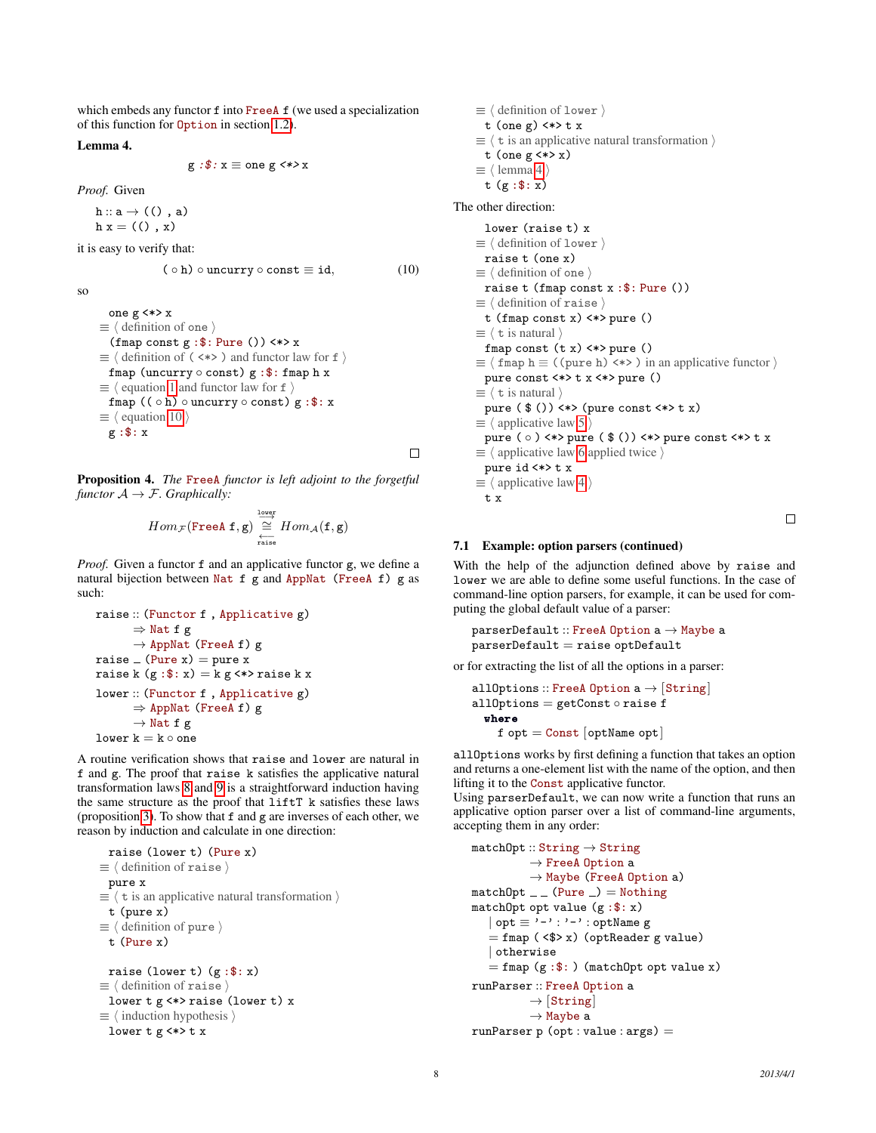which embeds any functor f into FreeA f (we used a specialization of this function for Option in section [1.2\)](#page-1-1).

#### <span id="page-7-1"></span>Lemma 4.

$$
g:\mathcal{S}\colon x\equiv one\ g\ll\!\!\ast\!\!\!\ast\!\!\!\ast
$$

*Proof.* Given

 $h :: a \rightarrow (() , a)$ h  $x = ((x, x)$ 

it is easy to verify that:

<span id="page-7-0"></span>
$$
(\circ h) \circ \text{uncarry} \circ \text{const} \equiv \text{id}, \tag{10}
$$

so

```
one g <*> x
\equiv \langle definition of one \rangle(fmap const g : $: Pure ()) < \ast > x
\equiv \langle definition of \langle \langle \rangle and functor law for f \ranglefmap (uncurry ◦ const) g :$: fmap h x
\equiv \langle 1 and functor law for f \ranglefmap ((\circh) \circ uncurry \circ const) g :$: x
\equiv \langle 10 \rangleg :$: x
```
Proposition 4. *The* FreeA *functor is left adjoint to the forgetful functor*  $A \rightarrow \mathcal{F}$ *. Graphically:* 

$$
\mathit{Hom}_{\mathcal{F}}(\mathtt{FreeA\ f},g)\overset{\text{lower}}{\underset{\underset{\kappa_{\mathrm{rise}}}{\leftarrow}}{\cong}}\mathit{Hom}_{\mathcal{A}}(\mathtt{f},g)
$$

*Proof.* Given a functor f and an applicative functor g, we define a natural bijection between Nat f g and AppNat (FreeA f) g as such:

```
raise :: (Functor f , Applicative g)
       \Rightarrow Nat f g
        \rightarrow AppNat (FreeA f) g
raise (Pure x) = pure xraise k (g : $: x) = k g \Leftrightarrow raise k x
lower :: (Functor f , Applicative g)
        \Rightarrow AppNat (FreeA f) g
        \rightarrow Nat f g
lower k = k \circ one
```
A routine verification shows that raise and lower are natural in f and g. The proof that raise k satisfies the applicative natural transformation laws [8](#page-6-1) and [9](#page-6-2) is a straightforward induction having the same structure as the proof that liftT k satisfies these laws (proposition [3\)](#page-6-3). To show that f and g are inverses of each other, we reason by induction and calculate in one direction:

```
raise (lower t) (Pure x)
\equiv \langle definition of raise \ranglepure x
\equiv \langle t \rangle t is an applicative natural transformation \ranglet (pure x)
\equiv \langle definition of pure \ranglet (Pure x)
 raise (lower t) (g : $: x)\equiv \langle definition of raise \ranglelower t g <*> raise (lower t) x
\equiv \langle induction hypothesis \ranglelower t g <*> t x
```
 $\equiv \langle$  definition of lower  $\rangle$ t (one g) <\*> t x  $\equiv \langle t \rangle$  t is an applicative natural transformation  $\rangle$ t (one  $g \iff x$ )  $\equiv$   $\langle$  lemma [4](#page-7-1)  $\rangle$ 

t (g :\$: x)

The other direction:

 $\Box$ 

lower (raise t) x  $\equiv \langle$  definition of lower  $\rangle$ raise t (one x)  $\equiv \langle$  definition of one  $\rangle$ raise t (fmap const x :\$: Pure ())  $\equiv$   $\langle$  definition of raise  $\rangle$ t (fmap const x)  $\langle * \rangle$  pure ()  $\equiv \langle t \text{ is natural} \rangle$ fmap const  $(t x)$   $\leftrightarrow$  pure ()  $\equiv \langle$  fmap h  $\equiv$  ((pure h) <\*> ) in an applicative functor  $\rangle$ pure const <\*> t x <\*> pure ()  $\equiv \langle t \text{ is natural } \rangle$ pure  $(\$())$  <\*> (pure const <\*> t x)  $\equiv \langle$  applicative law [5](#page-4-5)  $\rangle$ pure ( $\circ$ ) <\*> pure ( $\circ$ ) <\*> pure const <\*> t x  $\equiv \langle$  applicative law [6](#page-4-8) applied twice  $\rangle$ pure id <\*> t x  $\equiv \langle$  applicative law [4](#page-4-7)  $\rangle$ t x

#### <span id="page-7-2"></span>7.1 Example: option parsers (continued)

With the help of the adjunction defined above by raise and lower we are able to define some useful functions. In the case of command-line option parsers, for example, it can be used for computing the global default value of a parser:

```
parserDefault :: FreeA Option a → Maybe a
parserDefault = raise optDefault
```
or for extracting the list of all the options in a parser:

```
allOptions :: FreeA Option a \rightarrow [String]
allOptions = getConst \circ raise fwhere
    f opt = Const [optName opt]
```
allOptions works by first defining a function that takes an option and returns a one-element list with the name of the option, and then lifting it to the Const applicative functor.

Using parserDefault, we can now write a function that runs an applicative option parser over a list of command-line arguments, accepting them in any order:

```
matchOpt :: String \rightarrow String\rightarrow FreeA Option a
           \rightarrow Maybe (FreeA Option a)
matchOpt = (Pure =) = NothingmatchOpt opt value (g : $: x)| opt \equiv '-' : '-' : optName g
   = fmap (\langle$> x) (optReader g value)
   | otherwise
   = fmap (g :$: ) (matchOpt opt value x)
runParser :: FreeA Option a
          \rightarrow [String]
           \rightarrow Maybe a
runParser p (opt : value : args) =
```
 $\Box$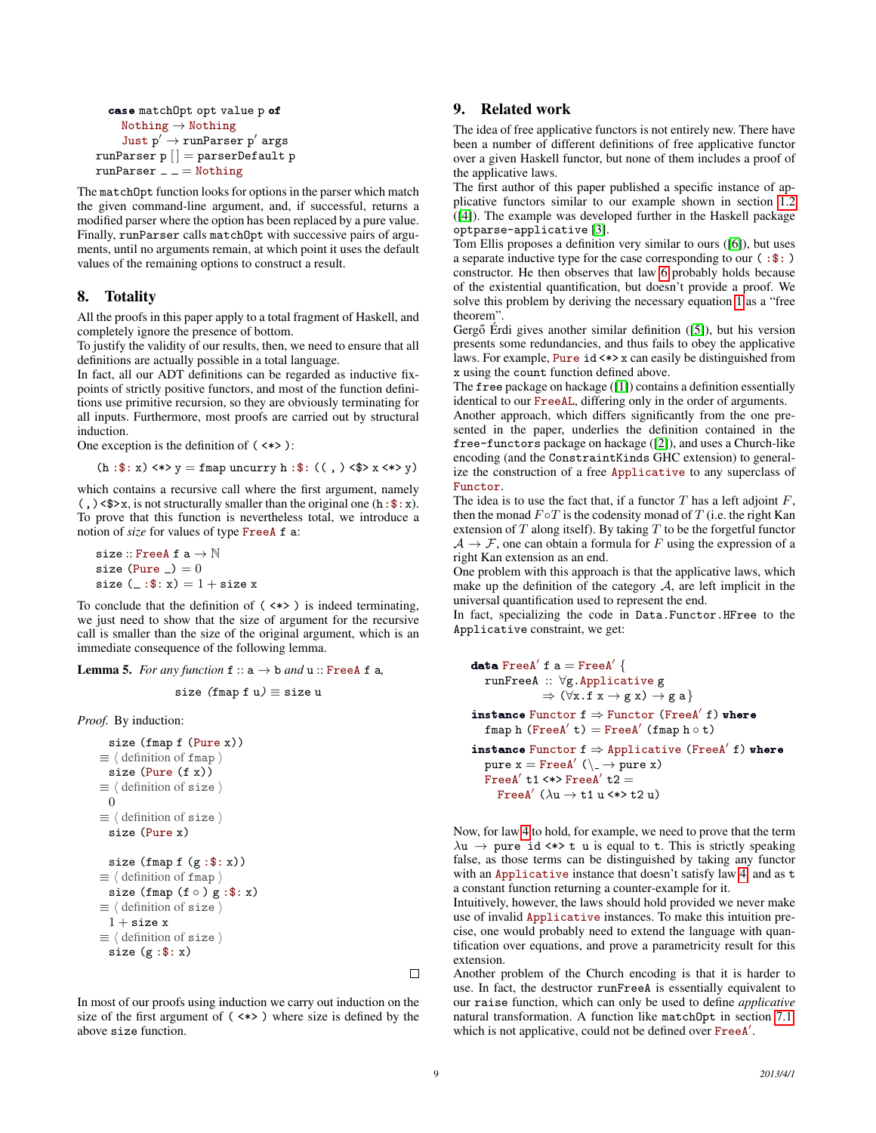```
case matchOpt opt value p of
     \texttt{Nothing} \rightarrow \texttt{Nothing}Just \mathtt{p}' \to \mathtt{runParser} \mathtt{p}' args
runParser p [] = parserDefault p
runParser = = Nothing
```
The matchOpt function looks for options in the parser which match the given command-line argument, and, if successful, returns a modified parser where the option has been replaced by a pure value. Finally, runParser calls matchOpt with successive pairs of arguments, until no arguments remain, at which point it uses the default values of the remaining options to construct a result.

## <span id="page-8-1"></span>8. Totality

All the proofs in this paper apply to a total fragment of Haskell, and completely ignore the presence of bottom.

To justify the validity of our results, then, we need to ensure that all definitions are actually possible in a total language.

In fact, all our ADT definitions can be regarded as inductive fixpoints of strictly positive functors, and most of the function definitions use primitive recursion, so they are obviously terminating for all inputs. Furthermore, most proofs are carried out by structural induction.

One exception is the definition of  $(\leftrightarrow)$ :

```
(h : $ : x) < * > y = fmap uncurry h : $: ((,) < $ > x < * > y)
```
which contains a recursive call where the first argument, namely  $($ ,  $\rangle$  <  $\gg$  x, is not structurally smaller than the original one (h:  $\div$  x). To prove that this function is nevertheless total, we introduce a notion of *size* for values of type FreeA f a:

```
size :: FreeA f a \rightarrow \mathbb{N}size (Pure = ) = 0size (: \ : x) = 1 + size x
```
To conclude that the definition of  $(\leftrightarrow)$  is indeed terminating, we just need to show that the size of argument for the recursive call is smaller than the size of the original argument, which is an immediate consequence of the following lemma.

Lemma 5. *For any function*  $f :: a \rightarrow b$  *and*  $u ::$  **FreeA**  $f a$ *,* 

size (fmap f u)  $\equiv$  size u

*Proof.* By induction:

```
size (fmap f (Pure x))
\equiv \langle definition of fmap \ranglesize (Pure (f x))
\equiv \langle definition of size \rangle\Omega\equiv \langle definition of size \ranglesize (Pure x)
  size (fmap f (g : $: x))
\equiv \langle definition of fmap \ranglesize (fmap (f \circ) g :$: x)
\equiv \langle definition of size \rangle1 + size x\equiv \langle definition of size \ranglesize (g: $: x)
```
 $\Box$ 

In most of our proofs using induction we carry out induction on the size of the first argument of  $(\leftrightarrow)$  where size is defined by the above size function.

# <span id="page-8-0"></span>9. Related work

The idea of free applicative functors is not entirely new. There have been a number of different definitions of free applicative functor over a given Haskell functor, but none of them includes a proof of the applicative laws.

The first author of this paper published a specific instance of applicative functors similar to our example shown in section [1.2](#page-1-1) ([\[4\]](#page-9-8)). The example was developed further in the Haskell package optparse-applicative [\[3\]](#page-9-9).

Tom Ellis proposes a definition very similar to ours ([\[6\]](#page-9-10)), but uses a separate inductive type for the case corresponding to our ( :\$: ) constructor. He then observes that law [6](#page-4-8) probably holds because of the existential quantification, but doesn't provide a proof. We solve this problem by deriving the necessary equation [1](#page-4-2) as a "free theorem".

Gergő Érdi gives another similar definition  $([5])$  $([5])$  $([5])$ , but his version presents some redundancies, and thus fails to obey the applicative laws. For example, Pure id <\*> x can easily be distinguished from x using the count function defined above.

The free package on hackage ([\[1\]](#page-9-12)) contains a definition essentially identical to our FreeAL, differing only in the order of arguments.

Another approach, which differs significantly from the one presented in the paper, underlies the definition contained in the free-functors package on hackage ([\[2\]](#page-9-13)), and uses a Church-like encoding (and the ConstraintKinds GHC extension) to generalize the construction of a free Applicative to any superclass of Functor.

The idea is to use the fact that, if a functor  $T$  has a left adjoint  $F$ , then the monad  $F \circ T$  is the codensity monad of T (i.e. the right Kan extension of  $T$  along itself). By taking  $T$  to be the forgetful functor  $A \rightarrow \mathcal{F}$ , one can obtain a formula for F using the expression of a right Kan extension as an end.

One problem with this approach is that the applicative laws, which make up the definition of the category  $A$ , are left implicit in the universal quantification used to represent the end.

In fact, specializing the code in Data.Functor.HFree to the Applicative constraint, we get:

```
\mathtt{data\,FreeA}' f \mathtt{a} = \mathtt{FreeA}' \{runFreeA :: ∀g.Applicative g
                    \Rightarrow (\forallx.f x \rightarrow g x) \rightarrow g a}
instance Functor f \Rightarrow Functor (FreeA' f) where
   {\tt fmap}\ h\ ({\tt FreeA}'\ {\tt t}) = {\tt FreeA}'\ ({\tt fmap}\ h\circ {\tt t})instance Functor \texttt{f} \Rightarrow \texttt{Applicative (FreeA' f)} where
   pure x = FreeA' (\backslash \rightarrow pure x)\text{FreeA}' t1 <*> \text{FreeA}' t2 =\texttt{FreeA}'\,\,(\lambda\texttt{u}\rightarrow \texttt{t1}\,\texttt{u}\,\texttt{<*>}\,\texttt{t2}\,\texttt{u})
```
Now, for law [4](#page-4-7) to hold, for example, we need to prove that the term  $\lambda$ u  $\rightarrow$  pure id <\*> t u is equal to t. This is strictly speaking false, as those terms can be distinguished by taking any functor with an Applicative instance that doesn't satisfy law [4,](#page-4-7) and as t a constant function returning a counter-example for it.

Intuitively, however, the laws should hold provided we never make use of invalid Applicative instances. To make this intuition precise, one would probably need to extend the language with quantification over equations, and prove a parametricity result for this extension.

Another problem of the Church encoding is that it is harder to use. In fact, the destructor runFreeA is essentially equivalent to our raise function, which can only be used to define *applicative* natural transformation. A function like matchOpt in section [7.1,](#page-7-2) which is not applicative, could not be defined over FreeA'.